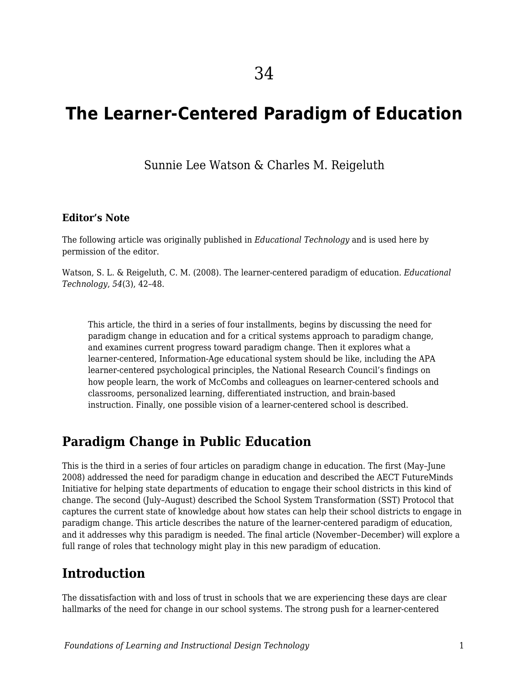# **The Learner-Centered Paradigm of Education**

Sunnie Lee Watson & Charles M. Reigeluth

#### **Editor's Note**

The following article was originally published in *Educational Technology* and is used here by permission of the editor.

Watson, S. L. & Reigeluth, C. M. (2008). The learner-centered paradigm of education. *Educational Technology*, *54*(3), 42–48.

This article, the third in a series of four installments, begins by discussing the need for paradigm change in education and for a critical systems approach to paradigm change, and examines current progress toward paradigm change. Then it explores what a learner-centered, Information-Age educational system should be like, including the APA learner-centered psychological principles, the National Research Council's findings on how people learn, the work of McCombs and colleagues on learner-centered schools and classrooms, personalized learning, differentiated instruction, and brain-based instruction. Finally, one possible vision of a learner-centered school is described.

### **Paradigm Change in Public Education**

This is the third in a series of four articles on paradigm change in education. The first (May–June 2008) addressed the need for paradigm change in education and described the AECT FutureMinds Initiative for helping state departments of education to engage their school districts in this kind of change. The second (July–August) described the School System Transformation (SST) Protocol that captures the current state of knowledge about how states can help their school districts to engage in paradigm change. This article describes the nature of the learner-centered paradigm of education, and it addresses why this paradigm is needed. The final article (November–December) will explore a full range of roles that technology might play in this new paradigm of education.

### **Introduction**

The dissatisfaction with and loss of trust in schools that we are experiencing these days are clear hallmarks of the need for change in our school systems. The strong push for a learner-centered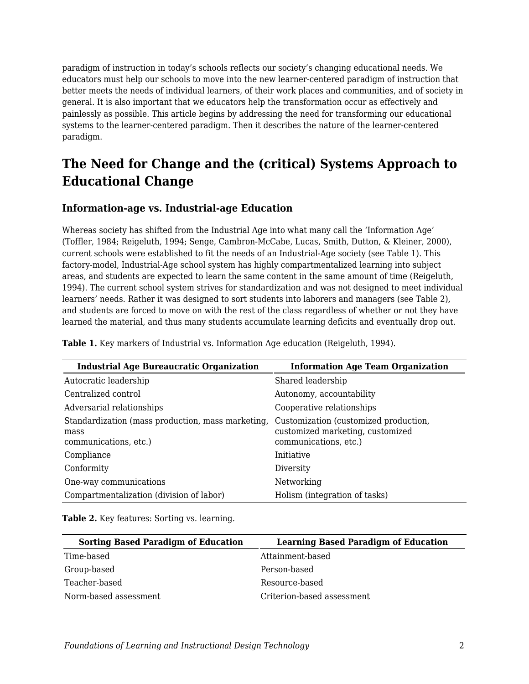paradigm of instruction in today's schools reflects our society's changing educational needs. We educators must help our schools to move into the new learner-centered paradigm of instruction that better meets the needs of individual learners, of their work places and communities, and of society in general. It is also important that we educators help the transformation occur as effectively and painlessly as possible. This article begins by addressing the need for transforming our educational systems to the learner-centered paradigm. Then it describes the nature of the learner-centered paradigm.

## **The Need for Change and the (critical) Systems Approach to Educational Change**

#### **Information-age vs. Industrial-age Education**

Whereas society has shifted from the Industrial Age into what many call the 'Information Age' (Toffler, 1984; Reigeluth, 1994; Senge, Cambron-McCabe, Lucas, Smith, Dutton, & Kleiner, 2000), current schools were established to fit the needs of an Industrial-Age society (see Table 1). This factory-model, Industrial-Age school system has highly compartmentalized learning into subject areas, and students are expected to learn the same content in the same amount of time (Reigeluth, 1994). The current school system strives for standardization and was not designed to meet individual learners' needs. Rather it was designed to sort students into laborers and managers (see Table 2), and students are forced to move on with the rest of the class regardless of whether or not they have learned the material, and thus many students accumulate learning deficits and eventually drop out.

**Industrial Age Bureaucratic Organization Information Age Team Organization** Autocratic leadership Shared leadership Centralized control and Autonomy, accountability Adversarial relationships Cooperative relationships Standardization (mass production, mass marketing, mass communications, etc.) Customization (customized production, customized marketing, customized communications, etc.) Compliance Initiative Conformity Diversity One-way communications Networking Compartmentalization (division of labor) Holism (integration of tasks)

**Table 1.** Key markers of Industrial vs. Information Age education (Reigeluth, 1994).

Table 2. Key features: Sorting vs. learning.

| <b>Sorting Based Paradigm of Education</b> | <b>Learning Based Paradigm of Education</b> |
|--------------------------------------------|---------------------------------------------|
| Time-based                                 | Attainment-based                            |
| Group-based                                | Person-based                                |
| Teacher-based                              | Resource-based                              |
| Norm-based assessment                      | Criterion-based assessment                  |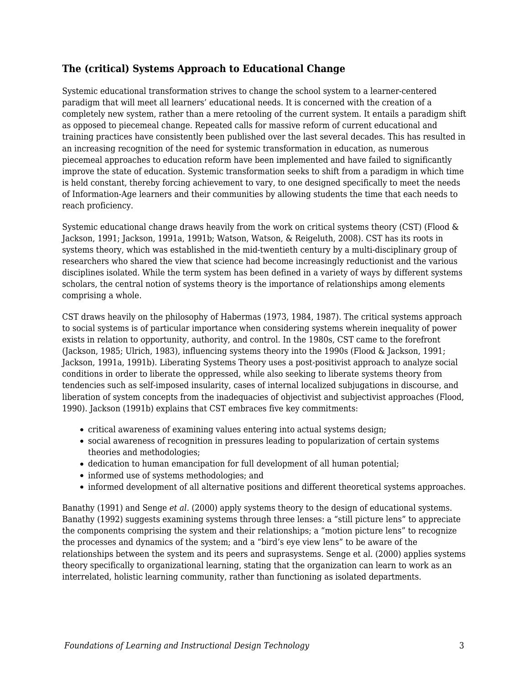#### **The (critical) Systems Approach to Educational Change**

Systemic educational transformation strives to change the school system to a learner-centered paradigm that will meet all learners' educational needs. It is concerned with the creation of a completely new system, rather than a mere retooling of the current system. It entails a paradigm shift as opposed to piecemeal change. Repeated calls for massive reform of current educational and training practices have consistently been published over the last several decades. This has resulted in an increasing recognition of the need for systemic transformation in education, as numerous piecemeal approaches to education reform have been implemented and have failed to significantly improve the state of education. Systemic transformation seeks to shift from a paradigm in which time is held constant, thereby forcing achievement to vary, to one designed specifically to meet the needs of Information-Age learners and their communities by allowing students the time that each needs to reach proficiency.

Systemic educational change draws heavily from the work on critical systems theory (CST) (Flood & Jackson, 1991; Jackson, 1991a, 1991b; Watson, Watson, & Reigeluth, 2008). CST has its roots in systems theory, which was established in the mid-twentieth century by a multi-disciplinary group of researchers who shared the view that science had become increasingly reductionist and the various disciplines isolated. While the term system has been defined in a variety of ways by different systems scholars, the central notion of systems theory is the importance of relationships among elements comprising a whole.

CST draws heavily on the philosophy of Habermas (1973, 1984, 1987). The critical systems approach to social systems is of particular importance when considering systems wherein inequality of power exists in relation to opportunity, authority, and control. In the 1980s, CST came to the forefront (Jackson, 1985; Ulrich, 1983), influencing systems theory into the 1990s (Flood & Jackson, 1991; Jackson, 1991a, 1991b). Liberating Systems Theory uses a post-positivist approach to analyze social conditions in order to liberate the oppressed, while also seeking to liberate systems theory from tendencies such as self-imposed insularity, cases of internal localized subjugations in discourse, and liberation of system concepts from the inadequacies of objectivist and subjectivist approaches (Flood, 1990). Jackson (1991b) explains that CST embraces five key commitments:

- critical awareness of examining values entering into actual systems design;
- social awareness of recognition in pressures leading to popularization of certain systems theories and methodologies;
- dedication to human emancipation for full development of all human potential;
- informed use of systems methodologies; and
- informed development of all alternative positions and different theoretical systems approaches.

Banathy (1991) and Senge *et al.* (2000) apply systems theory to the design of educational systems. Banathy (1992) suggests examining systems through three lenses: a "still picture lens" to appreciate the components comprising the system and their relationships; a "motion picture lens" to recognize the processes and dynamics of the system; and a "bird's eye view lens" to be aware of the relationships between the system and its peers and suprasystems. Senge et al. (2000) applies systems theory specifically to organizational learning, stating that the organization can learn to work as an interrelated, holistic learning community, rather than functioning as isolated departments.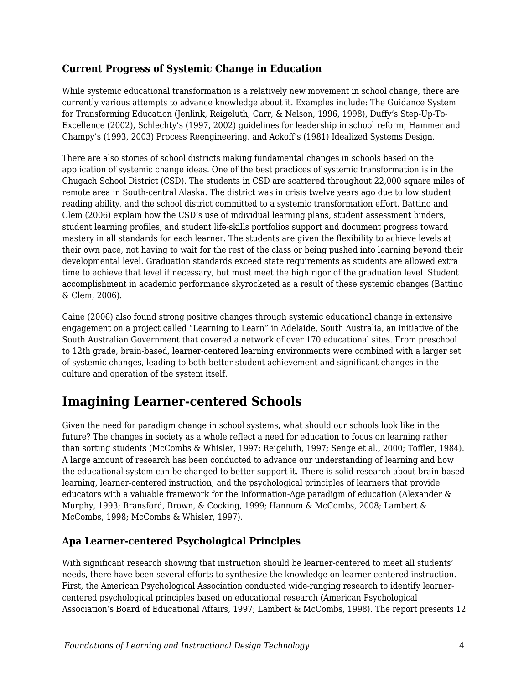### **Current Progress of Systemic Change in Education**

While systemic educational transformation is a relatively new movement in school change, there are currently various attempts to advance knowledge about it. Examples include: The Guidance System for Transforming Education (Jenlink, Reigeluth, Carr, & Nelson, 1996, 1998), Duffy's Step-Up-To-Excellence (2002), Schlechty's (1997, 2002) guidelines for leadership in school reform, Hammer and Champy's (1993, 2003) Process Reengineering, and Ackoff's (1981) Idealized Systems Design.

There are also stories of school districts making fundamental changes in schools based on the application of systemic change ideas. One of the best practices of systemic transformation is in the Chugach School District (CSD). The students in CSD are scattered throughout 22,000 square miles of remote area in South-central Alaska. The district was in crisis twelve years ago due to low student reading ability, and the school district committed to a systemic transformation effort. Battino and Clem (2006) explain how the CSD's use of individual learning plans, student assessment binders, student learning profiles, and student life-skills portfolios support and document progress toward mastery in all standards for each learner. The students are given the flexibility to achieve levels at their own pace, not having to wait for the rest of the class or being pushed into learning beyond their developmental level. Graduation standards exceed state requirements as students are allowed extra time to achieve that level if necessary, but must meet the high rigor of the graduation level. Student accomplishment in academic performance skyrocketed as a result of these systemic changes (Battino & Clem, 2006).

Caine (2006) also found strong positive changes through systemic educational change in extensive engagement on a project called "Learning to Learn" in Adelaide, South Australia, an initiative of the South Australian Government that covered a network of over 170 educational sites. From preschool to 12th grade, brain-based, learner-centered learning environments were combined with a larger set of systemic changes, leading to both better student achievement and significant changes in the culture and operation of the system itself.

## **Imagining Learner-centered Schools**

Given the need for paradigm change in school systems, what should our schools look like in the future? The changes in society as a whole reflect a need for education to focus on learning rather than sorting students (McCombs & Whisler, 1997; Reigeluth, 1997; Senge et al., 2000; Toffler, 1984). A large amount of research has been conducted to advance our understanding of learning and how the educational system can be changed to better support it. There is solid research about brain-based learning, learner-centered instruction, and the psychological principles of learners that provide educators with a valuable framework for the Information-Age paradigm of education (Alexander & Murphy, 1993; Bransford, Brown, & Cocking, 1999; Hannum & McCombs, 2008; Lambert & McCombs, 1998; McCombs & Whisler, 1997).

### **Apa Learner-centered Psychological Principles**

With significant research showing that instruction should be learner-centered to meet all students' needs, there have been several efforts to synthesize the knowledge on learner-centered instruction. First, the American Psychological Association conducted wide-ranging research to identify learnercentered psychological principles based on educational research (American Psychological Association's Board of Educational Affairs, 1997; Lambert & McCombs, 1998). The report presents 12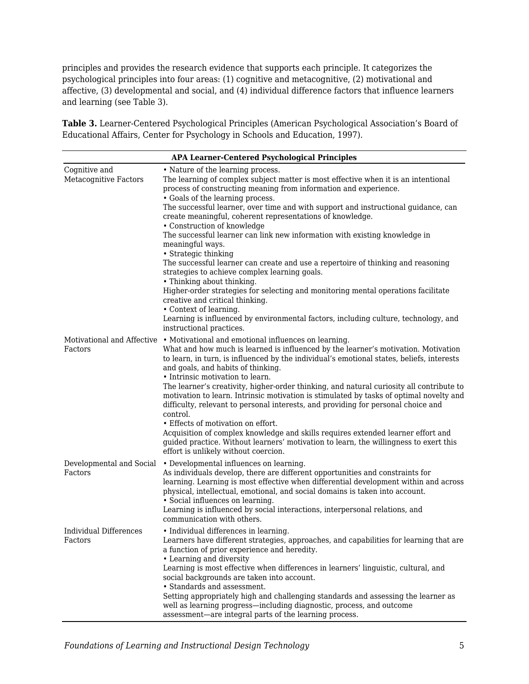principles and provides the research evidence that supports each principle. It categorizes the psychological principles into four areas: (1) cognitive and metacognitive, (2) motivational and affective, (3) developmental and social, and (4) individual difference factors that influence learners and learning (see Table 3).

**Table 3.** Learner-Centered Psychological Principles (American Psychological Association's Board of Educational Affairs, Center for Psychology in Schools and Education, 1997).

| <b>APA Learner-Centered Psychological Principles</b> |                                                                                                                                                                                                                                                                                                                                                                                                                                                                                                                                                                                                                                                                                                                                                                                                                                                                                                                                                                                     |
|------------------------------------------------------|-------------------------------------------------------------------------------------------------------------------------------------------------------------------------------------------------------------------------------------------------------------------------------------------------------------------------------------------------------------------------------------------------------------------------------------------------------------------------------------------------------------------------------------------------------------------------------------------------------------------------------------------------------------------------------------------------------------------------------------------------------------------------------------------------------------------------------------------------------------------------------------------------------------------------------------------------------------------------------------|
| Cognitive and<br><b>Metacognitive Factors</b>        | • Nature of the learning process.<br>The learning of complex subject matter is most effective when it is an intentional<br>process of constructing meaning from information and experience.<br>• Goals of the learning process.<br>The successful learner, over time and with support and instructional guidance, can<br>create meaningful, coherent representations of knowledge.<br>• Construction of knowledge<br>The successful learner can link new information with existing knowledge in<br>meaningful ways.<br>• Strategic thinking<br>The successful learner can create and use a repertoire of thinking and reasoning<br>strategies to achieve complex learning goals.<br>• Thinking about thinking.<br>Higher-order strategies for selecting and monitoring mental operations facilitate<br>creative and critical thinking.<br>• Context of learning.<br>Learning is influenced by environmental factors, including culture, technology, and<br>instructional practices. |
| Factors                                              | Motivational and Affective • Motivational and emotional influences on learning.<br>What and how much is learned is influenced by the learner's motivation. Motivation<br>to learn, in turn, is influenced by the individual's emotional states, beliefs, interests<br>and goals, and habits of thinking.<br>• Intrinsic motivation to learn.<br>The learner's creativity, higher-order thinking, and natural curiosity all contribute to<br>motivation to learn. Intrinsic motivation is stimulated by tasks of optimal novelty and<br>difficulty, relevant to personal interests, and providing for personal choice and<br>control.<br>• Effects of motivation on effort.<br>Acquisition of complex knowledge and skills requires extended learner effort and<br>guided practice. Without learners' motivation to learn, the willingness to exert this<br>effort is unlikely without coercion.                                                                                     |
| Developmental and Social<br>Factors                  | • Developmental influences on learning.<br>As individuals develop, there are different opportunities and constraints for<br>learning. Learning is most effective when differential development within and across<br>physical, intellectual, emotional, and social domains is taken into account.<br>• Social influences on learning.<br>Learning is influenced by social interactions, interpersonal relations, and<br>communication with others.                                                                                                                                                                                                                                                                                                                                                                                                                                                                                                                                   |
| <b>Individual Differences</b><br>Factors             | • Individual differences in learning.<br>Learners have different strategies, approaches, and capabilities for learning that are<br>a function of prior experience and heredity.<br>• Learning and diversity<br>Learning is most effective when differences in learners' linguistic, cultural, and<br>social backgrounds are taken into account.<br>• Standards and assessment.<br>Setting appropriately high and challenging standards and assessing the learner as<br>well as learning progress—including diagnostic, process, and outcome<br>assessment—are integral parts of the learning process.                                                                                                                                                                                                                                                                                                                                                                               |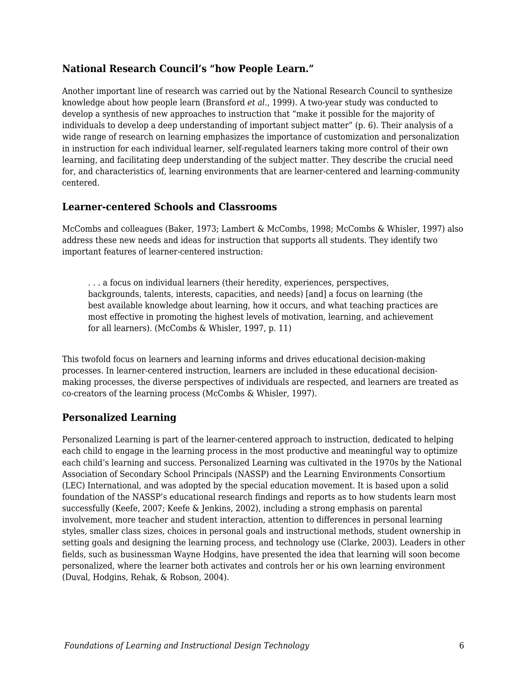#### **National Research Council's "how People Learn."**

Another important line of research was carried out by the National Research Council to synthesize knowledge about how people learn (Bransford *et al.*, 1999). A two-year study was conducted to develop a synthesis of new approaches to instruction that "make it possible for the majority of individuals to develop a deep understanding of important subject matter" (p. 6). Their analysis of a wide range of research on learning emphasizes the importance of customization and personalization in instruction for each individual learner, self-regulated learners taking more control of their own learning, and facilitating deep understanding of the subject matter. They describe the crucial need for, and characteristics of, learning environments that are learner-centered and learning-community centered.

#### **Learner-centered Schools and Classrooms**

McCombs and colleagues (Baker, 1973; Lambert & McCombs, 1998; McCombs & Whisler, 1997) also address these new needs and ideas for instruction that supports all students. They identify two important features of learner-centered instruction:

. . . a focus on individual learners (their heredity, experiences, perspectives, backgrounds, talents, interests, capacities, and needs) [and] a focus on learning (the best available knowledge about learning, how it occurs, and what teaching practices are most effective in promoting the highest levels of motivation, learning, and achievement for all learners). (McCombs & Whisler, 1997, p. 11)

This twofold focus on learners and learning informs and drives educational decision-making processes. In learner-centered instruction, learners are included in these educational decisionmaking processes, the diverse perspectives of individuals are respected, and learners are treated as co-creators of the learning process (McCombs & Whisler, 1997).

#### **Personalized Learning**

Personalized Learning is part of the learner-centered approach to instruction, dedicated to helping each child to engage in the learning process in the most productive and meaningful way to optimize each child's learning and success. Personalized Learning was cultivated in the 1970s by the National Association of Secondary School Principals (NASSP) and the Learning Environments Consortium (LEC) International, and was adopted by the special education movement. It is based upon a solid foundation of the NASSP's educational research findings and reports as to how students learn most successfully (Keefe, 2007; Keefe & Jenkins, 2002), including a strong emphasis on parental involvement, more teacher and student interaction, attention to differences in personal learning styles, smaller class sizes, choices in personal goals and instructional methods, student ownership in setting goals and designing the learning process, and technology use (Clarke, 2003). Leaders in other fields, such as businessman Wayne Hodgins, have presented the idea that learning will soon become personalized, where the learner both activates and controls her or his own learning environment (Duval, Hodgins, Rehak, & Robson, 2004).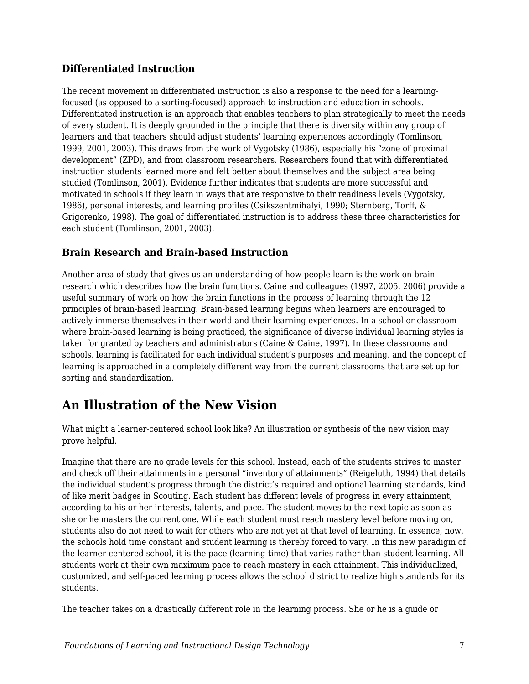### **Differentiated Instruction**

The recent movement in differentiated instruction is also a response to the need for a learningfocused (as opposed to a sorting-focused) approach to instruction and education in schools. Differentiated instruction is an approach that enables teachers to plan strategically to meet the needs of every student. It is deeply grounded in the principle that there is diversity within any group of learners and that teachers should adjust students' learning experiences accordingly (Tomlinson, 1999, 2001, 2003). This draws from the work of Vygotsky (1986), especially his "zone of proximal development" (ZPD), and from classroom researchers. Researchers found that with differentiated instruction students learned more and felt better about themselves and the subject area being studied (Tomlinson, 2001). Evidence further indicates that students are more successful and motivated in schools if they learn in ways that are responsive to their readiness levels (Vygotsky, 1986), personal interests, and learning profiles (Csikszentmihalyi, 1990; Sternberg, Torff, & Grigorenko, 1998). The goal of differentiated instruction is to address these three characteristics for each student (Tomlinson, 2001, 2003).

### **Brain Research and Brain-based Instruction**

Another area of study that gives us an understanding of how people learn is the work on brain research which describes how the brain functions. Caine and colleagues (1997, 2005, 2006) provide a useful summary of work on how the brain functions in the process of learning through the 12 principles of brain-based learning. Brain-based learning begins when learners are encouraged to actively immerse themselves in their world and their learning experiences. In a school or classroom where brain-based learning is being practiced, the significance of diverse individual learning styles is taken for granted by teachers and administrators (Caine & Caine, 1997). In these classrooms and schools, learning is facilitated for each individual student's purposes and meaning, and the concept of learning is approached in a completely different way from the current classrooms that are set up for sorting and standardization.

## **An Illustration of the New Vision**

What might a learner-centered school look like? An illustration or synthesis of the new vision may prove helpful.

Imagine that there are no grade levels for this school. Instead, each of the students strives to master and check off their attainments in a personal "inventory of attainments" (Reigeluth, 1994) that details the individual student's progress through the district's required and optional learning standards, kind of like merit badges in Scouting. Each student has different levels of progress in every attainment, according to his or her interests, talents, and pace. The student moves to the next topic as soon as she or he masters the current one. While each student must reach mastery level before moving on, students also do not need to wait for others who are not yet at that level of learning. In essence, now, the schools hold time constant and student learning is thereby forced to vary. In this new paradigm of the learner-centered school, it is the pace (learning time) that varies rather than student learning. All students work at their own maximum pace to reach mastery in each attainment. This individualized, customized, and self-paced learning process allows the school district to realize high standards for its students.

The teacher takes on a drastically different role in the learning process. She or he is a guide or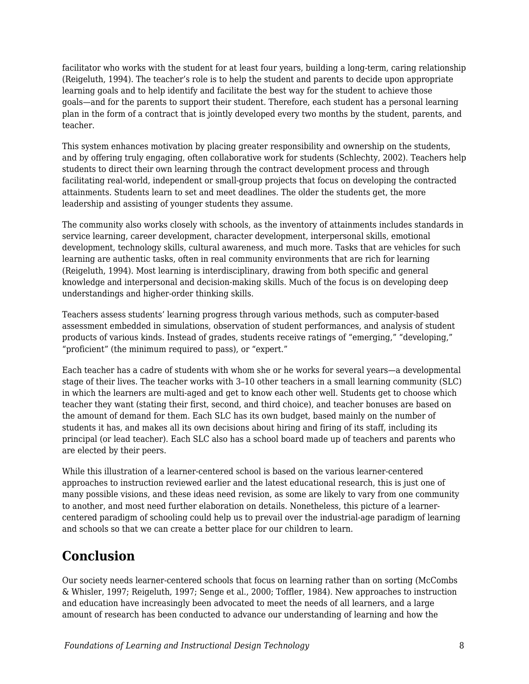facilitator who works with the student for at least four years, building a long-term, caring relationship (Reigeluth, 1994). The teacher's role is to help the student and parents to decide upon appropriate learning goals and to help identify and facilitate the best way for the student to achieve those goals—and for the parents to support their student. Therefore, each student has a personal learning plan in the form of a contract that is jointly developed every two months by the student, parents, and teacher.

This system enhances motivation by placing greater responsibility and ownership on the students, and by offering truly engaging, often collaborative work for students (Schlechty, 2002). Teachers help students to direct their own learning through the contract development process and through facilitating real-world, independent or small-group projects that focus on developing the contracted attainments. Students learn to set and meet deadlines. The older the students get, the more leadership and assisting of younger students they assume.

The community also works closely with schools, as the inventory of attainments includes standards in service learning, career development, character development, interpersonal skills, emotional development, technology skills, cultural awareness, and much more. Tasks that are vehicles for such learning are authentic tasks, often in real community environments that are rich for learning (Reigeluth, 1994). Most learning is interdisciplinary, drawing from both specific and general knowledge and interpersonal and decision-making skills. Much of the focus is on developing deep understandings and higher-order thinking skills.

Teachers assess students' learning progress through various methods, such as computer-based assessment embedded in simulations, observation of student performances, and analysis of student products of various kinds. Instead of grades, students receive ratings of "emerging," "developing," "proficient" (the minimum required to pass), or "expert."

Each teacher has a cadre of students with whom she or he works for several years—a developmental stage of their lives. The teacher works with 3–10 other teachers in a small learning community (SLC) in which the learners are multi-aged and get to know each other well. Students get to choose which teacher they want (stating their first, second, and third choice), and teacher bonuses are based on the amount of demand for them. Each SLC has its own budget, based mainly on the number of students it has, and makes all its own decisions about hiring and firing of its staff, including its principal (or lead teacher). Each SLC also has a school board made up of teachers and parents who are elected by their peers.

While this illustration of a learner-centered school is based on the various learner-centered approaches to instruction reviewed earlier and the latest educational research, this is just one of many possible visions, and these ideas need revision, as some are likely to vary from one community to another, and most need further elaboration on details. Nonetheless, this picture of a learnercentered paradigm of schooling could help us to prevail over the industrial-age paradigm of learning and schools so that we can create a better place for our children to learn.

## **Conclusion**

Our society needs learner-centered schools that focus on learning rather than on sorting (McCombs & Whisler, 1997; Reigeluth, 1997; Senge et al., 2000; Toffler, 1984). New approaches to instruction and education have increasingly been advocated to meet the needs of all learners, and a large amount of research has been conducted to advance our understanding of learning and how the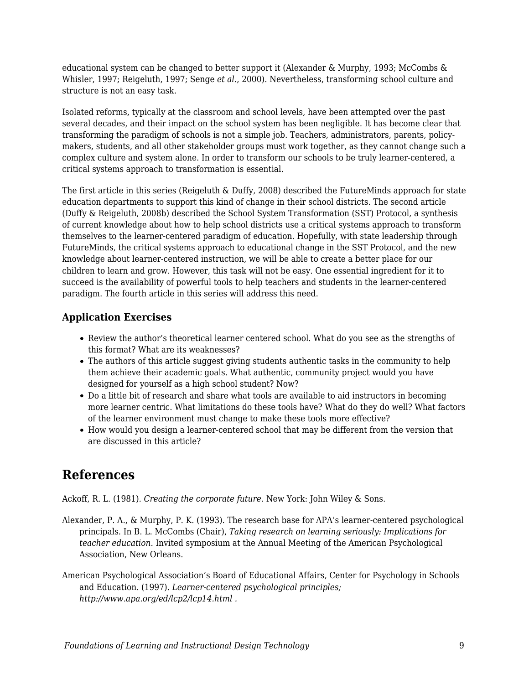educational system can be changed to better support it (Alexander & Murphy, 1993; McCombs & Whisler, 1997; Reigeluth, 1997; Senge *et al.*, 2000). Nevertheless, transforming school culture and structure is not an easy task.

Isolated reforms, typically at the classroom and school levels, have been attempted over the past several decades, and their impact on the school system has been negligible. It has become clear that transforming the paradigm of schools is not a simple job. Teachers, administrators, parents, policymakers, students, and all other stakeholder groups must work together, as they cannot change such a complex culture and system alone. In order to transform our schools to be truly learner-centered, a critical systems approach to transformation is essential.

The first article in this series (Reigeluth & Duffy, 2008) described the FutureMinds approach for state education departments to support this kind of change in their school districts. The second article (Duffy & Reigeluth, 2008b) described the School System Transformation (SST) Protocol, a synthesis of current knowledge about how to help school districts use a critical systems approach to transform themselves to the learner-centered paradigm of education. Hopefully, with state leadership through FutureMinds, the critical systems approach to educational change in the SST Protocol, and the new knowledge about learner-centered instruction, we will be able to create a better place for our children to learn and grow. However, this task will not be easy. One essential ingredient for it to succeed is the availability of powerful tools to help teachers and students in the learner-centered paradigm. The fourth article in this series will address this need.

### **Application Exercises**

- Review the author's theoretical learner centered school. What do you see as the strengths of this format? What are its weaknesses?
- The authors of this article suggest giving students authentic tasks in the community to help them achieve their academic goals. What authentic, community project would you have designed for yourself as a high school student? Now?
- Do a little bit of research and share what tools are available to aid instructors in becoming more learner centric. What limitations do these tools have? What do they do well? What factors of the learner environment must change to make these tools more effective?
- How would you design a learner-centered school that may be different from the version that are discussed in this article?

## **References**

Ackoff, R. L. (1981). *Creating the corporate future.* New York: John Wiley & Sons.

- Alexander, P. A., & Murphy, P. K. (1993). The research base for APA's learner-centered psychological principals. In B. L. McCombs (Chair), *Taking research on learning seriously: Implications for teacher education.* Invited symposium at the Annual Meeting of the American Psychological Association, New Orleans.
- American Psychological Association's Board of Educational Affairs, Center for Psychology in Schools and Education. (1997). *Learner-centered psychological principles; http://www.apa.org/ed/lcp2/lcp14.html .*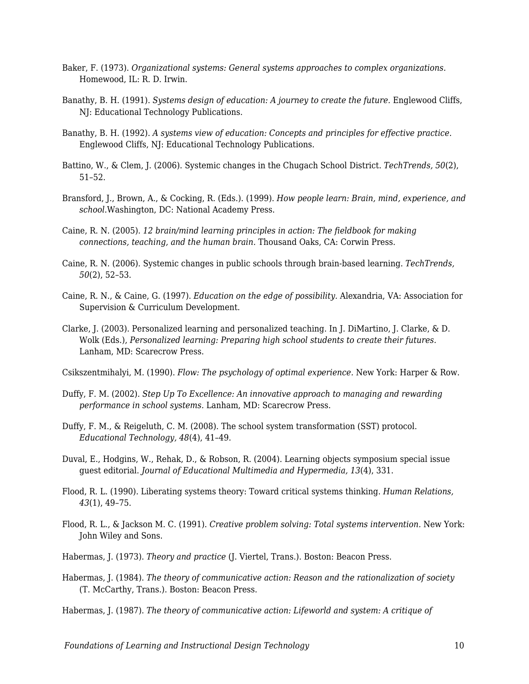- Baker, F. (1973). *Organizational systems: General systems approaches to complex organizations.* Homewood, IL: R. D. Irwin.
- Banathy, B. H. (1991). *Systems design of education: A journey to create the future.* Englewood Cliffs, NJ: Educational Technology Publications.
- Banathy, B. H. (1992). *A systems view of education: Concepts and principles for effective practice.* Englewood Cliffs, NJ: Educational Technology Publications.
- Battino, W., & Clem, J. (2006). Systemic changes in the Chugach School District. *TechTrends, 50*(2), 51–52.
- Bransford, J., Brown, A., & Cocking, R. (Eds.). (1999). *How people learn: Brain, mind, experience, and school.*Washington, DC: National Academy Press.
- Caine, R. N. (2005). *12 brain/mind learning principles in action: The fieldbook for making connections, teaching, and the human brain.* Thousand Oaks, CA: Corwin Press.
- Caine, R. N. (2006). Systemic changes in public schools through brain-based learning. *TechTrends, 50*(2), 52–53.
- Caine, R. N., & Caine, G. (1997). *Education on the edge of possibility.* Alexandria, VA: Association for Supervision & Curriculum Development.
- Clarke, J. (2003). Personalized learning and personalized teaching. In J. DiMartino, J. Clarke, & D. Wolk (Eds.), *Personalized learning: Preparing high school students to create their futures.* Lanham, MD: Scarecrow Press.

Csikszentmihalyi, M. (1990). *Flow: The psychology of optimal experience.* New York: Harper & Row.

- Duffy, F. M. (2002). *Step Up To Excellence: An innovative approach to managing and rewarding performance in school systems.* Lanham, MD: Scarecrow Press.
- Duffy, F. M., & Reigeluth, C. M. (2008). The school system transformation (SST) protocol. *Educational Technology, 48*(4), 41–49.
- Duval, E., Hodgins, W., Rehak, D., & Robson, R. (2004). Learning objects symposium special issue guest editorial. *Journal of Educational Multimedia and Hypermedia, 13*(4), 331.
- Flood, R. L. (1990). Liberating systems theory: Toward critical systems thinking. *Human Relations, 43*(1), 49–75.
- Flood, R. L., & Jackson M. C. (1991). *Creative problem solving: Total systems intervention.* New York: John Wiley and Sons.
- Habermas, J. (1973). *Theory and practice* (J. Viertel, Trans.). Boston: Beacon Press.
- Habermas, J. (1984). *The theory of communicative action: Reason and the rationalization of society* (T. McCarthy, Trans.). Boston: Beacon Press.

Habermas, J. (1987). *The theory of communicative action: Lifeworld and system: A critique of*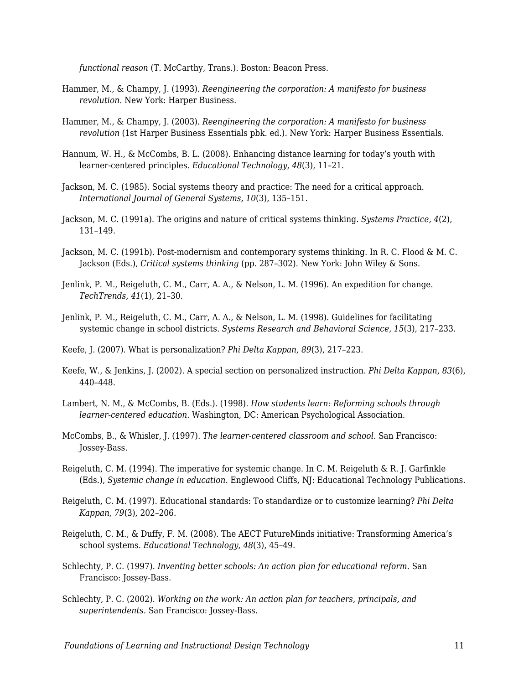*functional reason* (T. McCarthy, Trans.). Boston: Beacon Press.

- Hammer, M., & Champy, J. (1993). *Reengineering the corporation: A manifesto for business revolution.* New York: Harper Business.
- Hammer, M., & Champy, J. (2003). *Reengineering the corporation: A manifesto for business revolution* (1st Harper Business Essentials pbk. ed.). New York: Harper Business Essentials.
- Hannum, W. H., & McCombs, B. L. (2008). Enhancing distance learning for today's youth with learner-centered principles. *Educational Technology, 48*(3), 11–21.
- Jackson, M. C. (1985). Social systems theory and practice: The need for a critical approach. *International Journal of General Systems, 10*(3), 135–151.
- Jackson, M. C. (1991a). The origins and nature of critical systems thinking. *Systems Practice, 4*(2), 131–149.
- Jackson, M. C. (1991b). Post-modernism and contemporary systems thinking. In R. C. Flood & M. C. Jackson (Eds.), *Critical systems thinking* (pp. 287–302). New York: John Wiley & Sons.
- Jenlink, P. M., Reigeluth, C. M., Carr, A. A., & Nelson, L. M. (1996). An expedition for change. *TechTrends, 41*(1), 21–30.
- Jenlink, P. M., Reigeluth, C. M., Carr, A. A., & Nelson, L. M. (1998). Guidelines for facilitating systemic change in school districts. *Systems Research and Behavioral Science, 15*(3), 217–233.
- Keefe, J. (2007). What is personalization? *Phi Delta Kappan, 89*(3), 217–223.
- Keefe, W., & Jenkins, J. (2002). A special section on personalized instruction. *Phi Delta Kappan, 83*(6), 440–448.
- Lambert, N. M., & McCombs, B. (Eds.). (1998). *How students learn: Reforming schools through learner-centered education.* Washington, DC: American Psychological Association.
- McCombs, B., & Whisler, J. (1997). *The learner-centered classroom and school.* San Francisco: Jossey-Bass.
- Reigeluth, C. M. (1994). The imperative for systemic change. In C. M. Reigeluth & R. J. Garfinkle (Eds.), *Systemic change in education.* Englewood Cliffs, NJ: Educational Technology Publications.
- Reigeluth, C. M. (1997). Educational standards: To standardize or to customize learning? *Phi Delta Kappan, 79*(3), 202–206.
- Reigeluth, C. M., & Duffy, F. M. (2008). The AECT FutureMinds initiative: Transforming America's school systems. *Educational Technology, 48*(3), 45–49.
- Schlechty, P. C. (1997). *Inventing better schools: An action plan for educational reform.* San Francisco: Jossey-Bass.
- Schlechty, P. C. (2002). *Working on the work: An action plan for teachers, principals, and superintendents.* San Francisco: Jossey-Bass.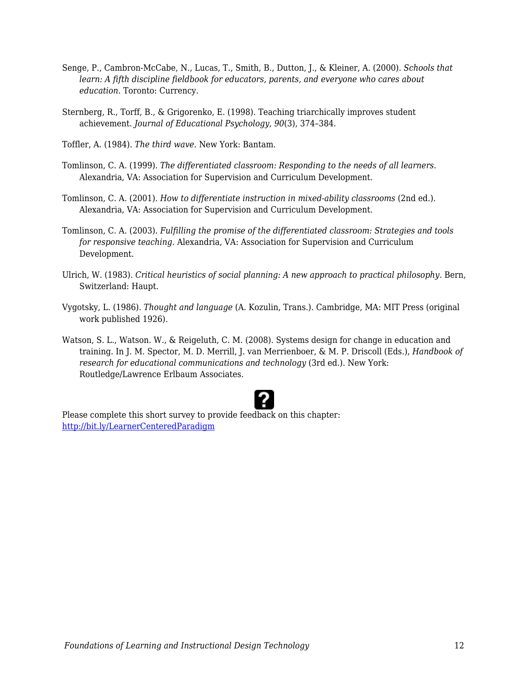- Senge, P., Cambron-McCabe, N., Lucas, T., Smith, B., Dutton, J., & Kleiner, A. (2000). *Schools that learn: A fifth discipline fieldbook for educators, parents, and everyone who cares about education.* Toronto: Currency.
- Sternberg, R., Torff, B., & Grigorenko, E. (1998). Teaching triarchically improves student achievement. *Journal of Educational Psychology, 90*(3), 374–384.
- Toffler, A. (1984). *The third wave.* New York: Bantam.
- Tomlinson, C. A. (1999). *The differentiated classroom: Responding to the needs of all learners.* Alexandria, VA: Association for Supervision and Curriculum Development.
- Tomlinson, C. A. (2001). *How to differentiate instruction in mixed-ability classrooms* (2nd ed.). Alexandria, VA: Association for Supervision and Curriculum Development.
- Tomlinson, C. A. (2003). *Fulfilling the promise of the differentiated classroom: Strategies and tools for responsive teaching.* Alexandria, VA: Association for Supervision and Curriculum Development.
- Ulrich, W. (1983). *Critical heuristics of social planning: A new approach to practical philosophy.* Bern, Switzerland: Haupt.
- Vygotsky, L. (1986). *Thought and language* (A. Kozulin, Trans.). Cambridge, MA: MIT Press (original work published 1926).
- Watson, S. L., Watson. W., & Reigeluth, C. M. (2008). Systems design for change in education and training. In J. M. Spector, M. D. Merrill, J. van Merrienboer, & M. P. Driscoll (Eds.), *Handbook of research for educational communications and technology* (3rd ed.). New York: Routledge/Lawrence Erlbaum Associates.



Please complete this short survey to provide feedback on this chapter: <http://bit.ly/LearnerCenteredParadigm>